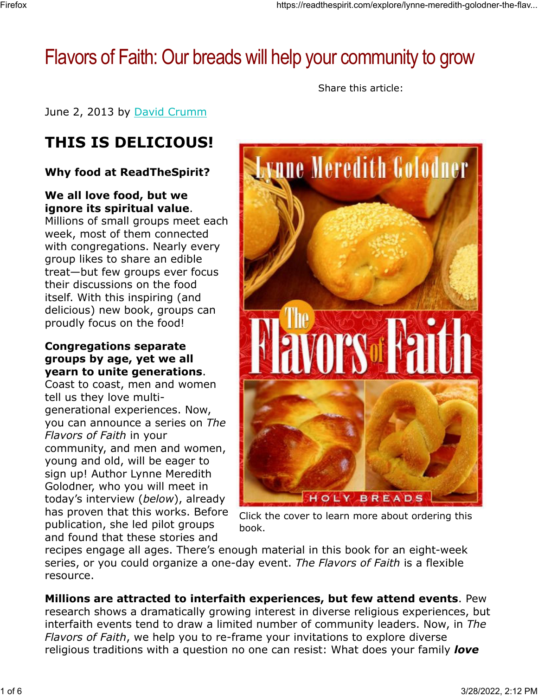# Flavors of Faith: Our breads will help your community to grow

Share this article:

June 2, 2013 by David Crumm

## **THIS IS DELICIOUS!**

#### **Why food at ReadTheSpirit?**

#### **We all love food, but we ignore its spiritual value**.

Millions of small groups meet each week, most of them connected with congregations. Nearly every group likes to share an edible treat—but few groups ever focus their discussions on the food itself. With this inspiring (and delicious) new book, groups can proudly focus on the food!

#### **Congregations separate groups by age, yet we all yearn to unite generations**.

Coast to coast, men and women tell us they love multigenerational experiences. Now, you can announce a series on *The Flavors of Faith* in your community, and men and women, young and old, will be eager to sign up! Author Lynne Meredith Golodner, who you will meet in today's interview (*below*), already has proven that this works. Before publication, she led pilot groups and found that these stories and



Click the cover to learn more about ordering this book.

recipes engage all ages. There's enough material in this book for an eight-week series, or you could organize a one-day event. *The Flavors of Faith* is a flexible resource.

**Millions are attracted to interfaith experiences, but few attend events**. Pew research shows a dramatically growing interest in diverse religious experiences, but interfaith events tend to draw a limited number of community leaders. Now, in *The Flavors of Faith*, we help you to re-frame your invitations to explore diverse religious traditions with a question no one can resist: What does your family *love*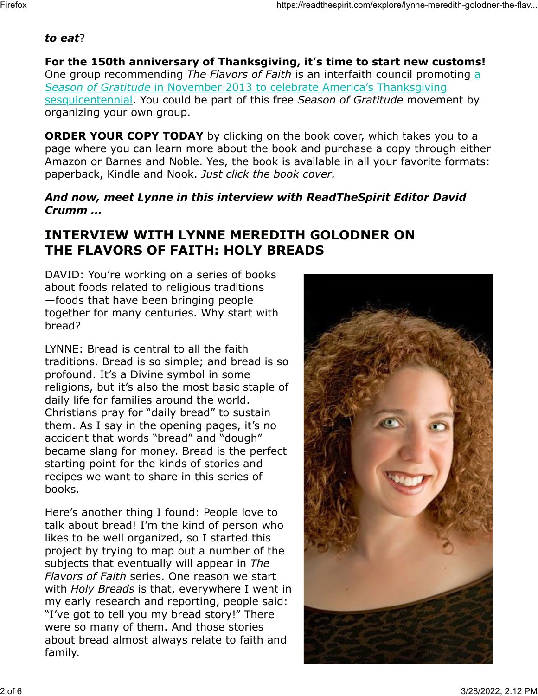#### *to eat*?

**For the 150th anniversary of Thanksgiving, it's time to start new customs!** One group recommending *The Flavors of Faith* is an interfaith council promoting a *Season of Gratitude* in November 2013 to celebrate America's Thanksgiving sesquicentennial. You could be part of this free *Season of Gratitude* movement by organizing your own group.

**ORDER YOUR COPY TODAY** by clicking on the book cover, which takes you to a page where you can learn more about the book and purchase a copy through either Amazon or Barnes and Noble. Yes, the book is available in all your favorite formats: paperback, Kindle and Nook. *Just click the book cover.*

#### *And now, meet Lynne in this interview with ReadTheSpirit Editor David Crumm …*

## **INTERVIEW WITH LYNNE MEREDITH GOLODNER ON THE FLAVORS OF FAITH: HOLY BREADS**

DAVID: You're working on a series of books about foods related to religious traditions —foods that have been bringing people together for many centuries. Why start with bread?

LYNNE: Bread is central to all the faith traditions. Bread is so simple; and bread is so profound. It's a Divine symbol in some religions, but it's also the most basic staple of daily life for families around the world. Christians pray for "daily bread" to sustain them. As I say in the opening pages, it's no accident that words "bread" and "dough" became slang for money. Bread is the perfect starting point for the kinds of stories and recipes we want to share in this series of books.

Here's another thing I found: People love to talk about bread! I'm the kind of person who likes to be well organized, so I started this project by trying to map out a number of the subjects that eventually will appear in *The Flavors of Faith* series. One reason we start with *Holy Breads* is that, everywhere I went in my early research and reporting, people said: "I've got to tell you my bread story!" There were so many of them. And those stories about bread almost always relate to faith and family.

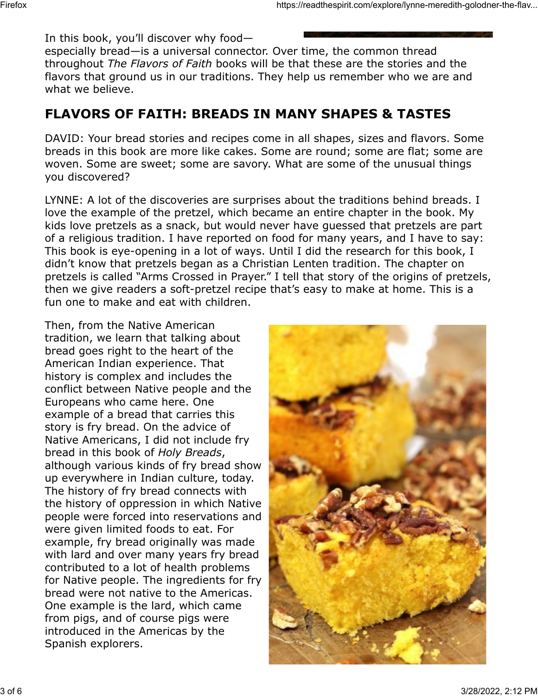In this book, you'll discover why food—

especially bread—is a universal connector. Over time, the common thread throughout *The Flavors of Faith* books will be that these are the stories and the flavors that ground us in our traditions. They help us remember who we are and what we believe.

### **FLAVORS OF FAITH: BREADS IN MANY SHAPES & TASTES**

DAVID: Your bread stories and recipes come in all shapes, sizes and flavors. Some breads in this book are more like cakes. Some are round; some are flat; some are woven. Some are sweet; some are savory. What are some of the unusual things you discovered?

LYNNE: A lot of the discoveries are surprises about the traditions behind breads. I love the example of the pretzel, which became an entire chapter in the book. My kids love pretzels as a snack, but would never have guessed that pretzels are part of a religious tradition. I have reported on food for many years, and I have to say: This book is eye-opening in a lot of ways. Until I did the research for this book, I didn't know that pretzels began as a Christian Lenten tradition. The chapter on pretzels is called "Arms Crossed in Prayer." I tell that story of the origins of pretzels, then we give readers a soft-pretzel recipe that's easy to make at home. This is a fun one to make and eat with children.

Then, from the Native American tradition, we learn that talking about bread goes right to the heart of the American Indian experience. That history is complex and includes the conflict between Native people and the Europeans who came here. One example of a bread that carries this story is fry bread. On the advice of Native Americans, I did not include fry bread in this book of *Holy Breads*, although various kinds of fry bread show up everywhere in Indian culture, today. The history of fry bread connects with the history of oppression in which Native people were forced into reservations and were given limited foods to eat. For example, fry bread originally was made with lard and over many years fry bread contributed to a lot of health problems for Native people. The ingredients for fry bread were not native to the Americas. One example is the lard, which came from pigs, and of course pigs were introduced in the Americas by the Spanish explorers.

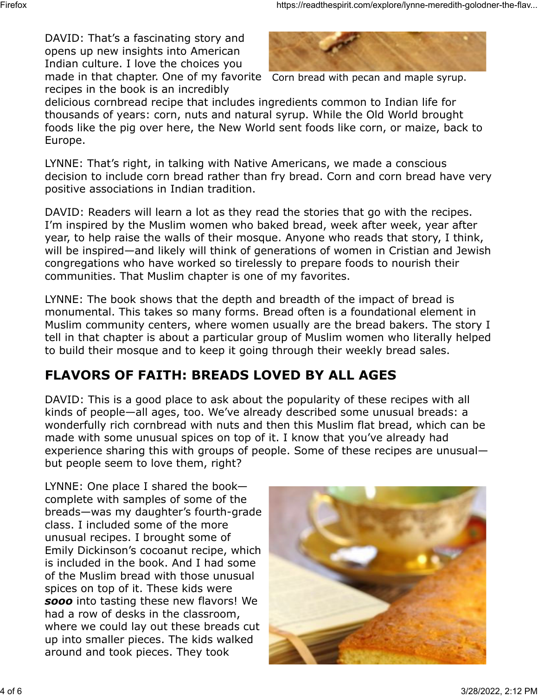made in that chapter. One of my favorite Corn bread with pecan and maple syrup. DAVID: That's a fascinating story and opens up new insights into American Indian culture. I love the choices you recipes in the book is an incredibly



delicious cornbread recipe that includes ingredients common to Indian life for thousands of years: corn, nuts and natural syrup. While the Old World brought foods like the pig over here, the New World sent foods like corn, or maize, back to Europe.

LYNNE: That's right, in talking with Native Americans, we made a conscious decision to include corn bread rather than fry bread. Corn and corn bread have very positive associations in Indian tradition.

DAVID: Readers will learn a lot as they read the stories that go with the recipes. I'm inspired by the Muslim women who baked bread, week after week, year after year, to help raise the walls of their mosque. Anyone who reads that story, I think, will be inspired—and likely will think of generations of women in Cristian and Jewish congregations who have worked so tirelessly to prepare foods to nourish their communities. That Muslim chapter is one of my favorites.

LYNNE: The book shows that the depth and breadth of the impact of bread is monumental. This takes so many forms. Bread often is a foundational element in Muslim community centers, where women usually are the bread bakers. The story I tell in that chapter is about a particular group of Muslim women who literally helped to build their mosque and to keep it going through their weekly bread sales.

## **FLAVORS OF FAITH: BREADS LOVED BY ALL AGES**

DAVID: This is a good place to ask about the popularity of these recipes with all kinds of people—all ages, too. We've already described some unusual breads: a wonderfully rich cornbread with nuts and then this Muslim flat bread, which can be made with some unusual spices on top of it. I know that you've already had experience sharing this with groups of people. Some of these recipes are unusual but people seem to love them, right?

LYNNE: One place I shared the book complete with samples of some of the breads—was my daughter's fourth-grade class. I included some of the more unusual recipes. I brought some of Emily Dickinson's cocoanut recipe, which is included in the book. And I had some of the Muslim bread with those unusual spices on top of it. These kids were *sooo* into tasting these new flavors! We had a row of desks in the classroom, where we could lay out these breads cut up into smaller pieces. The kids walked around and took pieces. They took

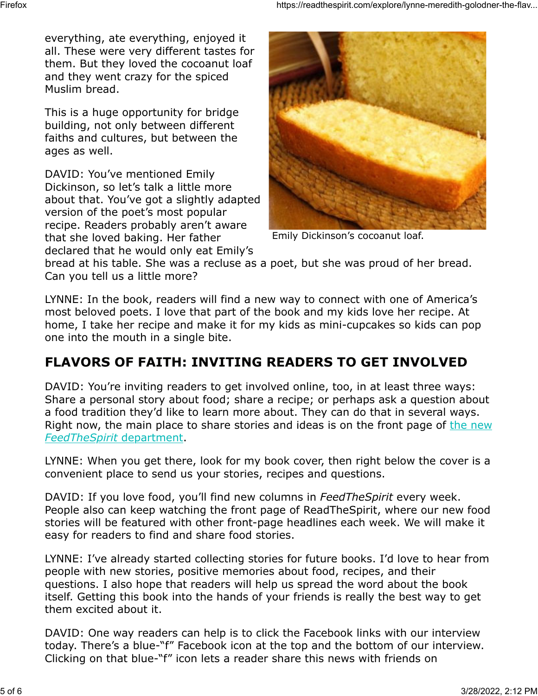everything, ate everything, enjoyed it all. These were very different tastes for them. But they loved the cocoanut loaf and they went crazy for the spiced Muslim bread.

This is a huge opportunity for bridge building, not only between different faiths and cultures, but between the ages as well.

DAVID: You've mentioned Emily Dickinson, so let's talk a little more about that. You've got a slightly adapted version of the poet's most popular recipe. Readers probably aren't aware that she loved baking. Her father declared that he would only eat Emily's



Emily Dickinson's cocoanut loaf.

bread at his table. She was a recluse as a poet, but she was proud of her bread. Can you tell us a little more?

LYNNE: In the book, readers will find a new way to connect with one of America's most beloved poets. I love that part of the book and my kids love her recipe. At home, I take her recipe and make it for my kids as mini-cupcakes so kids can pop one into the mouth in a single bite.

#### **FLAVORS OF FAITH: INVITING READERS TO GET INVOLVED**

DAVID: You're inviting readers to get involved online, too, in at least three ways: Share a personal story about food; share a recipe; or perhaps ask a question about a food tradition they'd like to learn more about. They can do that in several ways. Right now, the main place to share stories and ideas is on the front page of the new *FeedTheSpirit* department.

LYNNE: When you get there, look for my book cover, then right below the cover is a convenient place to send us your stories, recipes and questions.

DAVID: If you love food, you'll find new columns in *FeedTheSpirit* every week. People also can keep watching the front page of ReadTheSpirit, where our new food stories will be featured with other front-page headlines each week. We will make it easy for readers to find and share food stories.

LYNNE: I've already started collecting stories for future books. I'd love to hear from people with new stories, positive memories about food, recipes, and their questions. I also hope that readers will help us spread the word about the book itself. Getting this book into the hands of your friends is really the best way to get them excited about it.

DAVID: One way readers can help is to click the Facebook links with our interview today. There's a blue-"f" Facebook icon at the top and the bottom of our interview. Clicking on that blue-"f" icon lets a reader share this news with friends on